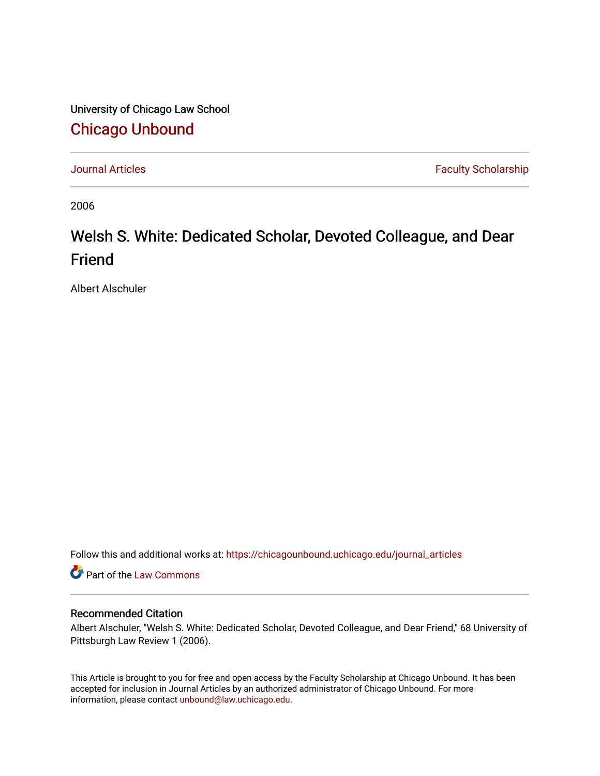University of Chicago Law School [Chicago Unbound](https://chicagounbound.uchicago.edu/)

[Journal Articles](https://chicagounbound.uchicago.edu/journal_articles) **Faculty Scholarship Faculty Scholarship** 

2006

# Welsh S. White: Dedicated Scholar, Devoted Colleague, and Dear Friend

Albert Alschuler

Follow this and additional works at: [https://chicagounbound.uchicago.edu/journal\\_articles](https://chicagounbound.uchicago.edu/journal_articles?utm_source=chicagounbound.uchicago.edu%2Fjournal_articles%2F802&utm_medium=PDF&utm_campaign=PDFCoverPages) 

Part of the [Law Commons](http://network.bepress.com/hgg/discipline/578?utm_source=chicagounbound.uchicago.edu%2Fjournal_articles%2F802&utm_medium=PDF&utm_campaign=PDFCoverPages)

### Recommended Citation

Albert Alschuler, "Welsh S. White: Dedicated Scholar, Devoted Colleague, and Dear Friend," 68 University of Pittsburgh Law Review 1 (2006).

This Article is brought to you for free and open access by the Faculty Scholarship at Chicago Unbound. It has been accepted for inclusion in Journal Articles by an authorized administrator of Chicago Unbound. For more information, please contact [unbound@law.uchicago.edu](mailto:unbound@law.uchicago.edu).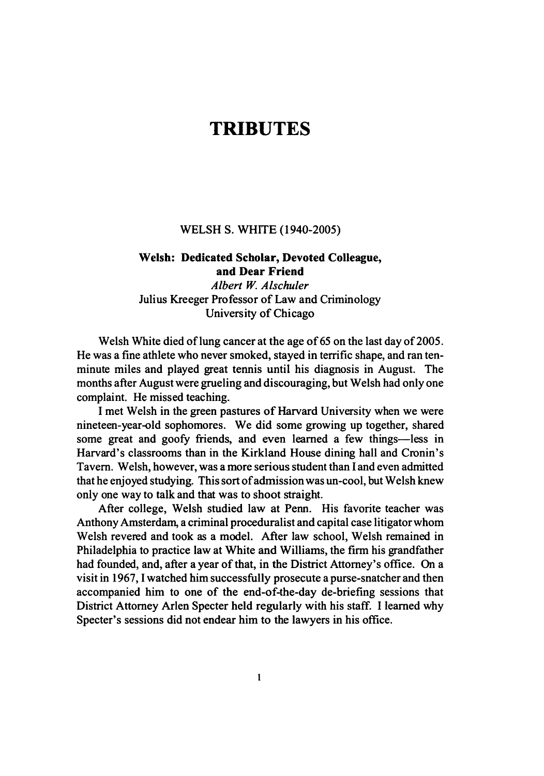# **TRIBUTES**

#### **WELSH S. WHITE** (1940-2005)

## **Welsh: Dedicated Scholar, Devoted Colleague, and Dear Friend** *Albert W. Alschuler* Julius Kreeger Professor of Law and Criminology University of Chicago

Welsh White died of lung cancer at the age of **65** on the last day of **2005.** He was a fine athlete who never smoked, stayed in terrific shape, and ran tenminute miles and played great tennis until his diagnosis in August. The months after August were grueling and discouraging, but Welsh had only one complaint. He missed teaching.

**I** met Welsh in the green pastures of Harvard University when we were nineteen-year-old sophomores. We did some growing up together, shared some great and goofy friends, and even learned a few things-less in Harvard's classrooms than in the Kirkland House dining hall and Cronin's Tavern. Welsh, however, was a more serious student than **I** and even admitted that he enjoyed studying. This sort of admission was un-cool, but Welsh knew only one way to talk and that was to shoot straight.

After college, Welsh studied law at Penn. His favorite teacher was Anthony Amsterdam, a criminal proceduralist and capital case litigator whom Welsh revered and took as a model. After law school, Welsh remained in Philadelphia to practice law at White and Williams, the firm his grandfather had founded, and, after a year of that, in the District Attorney's office. On a visit in **1967, I** watched him successfully prosecute a purse-snatcher and then accompanied him to one of the end-of-the-day de-briefing sessions that District Attorney Arlen Specter held regularly with his staff. **I** learned why Specter's sessions did not endear him to the lawyers in his office.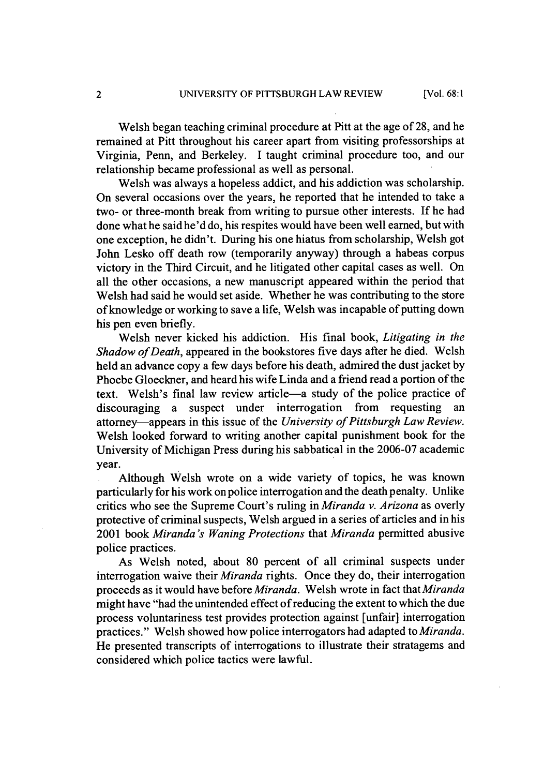Welsh began teaching criminal procedure at Pitt at the age of 28, and he remained at Pitt throughout his career apart from visiting professorships at Virginia, Penn, and Berkeley. I taught criminal procedure too, and our relationship became professional as well as personal.

Welsh was always a hopeless addict, and his addiction was scholarship. On several occasions over the years, he reported that he intended to take a two- or three-month break from writing to pursue other interests. If he had done what he said he'd do, his respites would have been well earned, but with one exception, he didn't. During his one hiatus from scholarship, Welsh got John Lesko off death row (temporarily anyway) through a habeas corpus victory in the Third Circuit, and he litigated other capital cases as well. On all the other occasions, a new manuscript appeared within the period that Welsh had said he would set aside. Whether he was contributing to the store of knowledge or working to save a life, Welsh was incapable of putting down his pen even briefly.

Welsh never kicked his addiction. His final book, *Litigating in the Shadow of Death,* appeared in the bookstores five days after he died. Welsh held an advance copy a few days before his death, admired the dust jacket by Phoebe Gloeckner, and heard his wife Linda and a friend read a portion of the text. Welsh's final law review article-a study of the police practice of discouraging a suspect under interrogation from requesting an attorney-appears in this issue of the *University of Pittsburgh Law Review.* Welsh looked forward to writing another capital punishment book for the University of Michigan Press during his sabbatical in the 2006-07 academic year.

Although Welsh wrote on a wide variety of topics, he was known particularly for his work on police interrogation and the death penalty. Unlike critics who see the Supreme Court's ruling in *Miranda v. Arizona* as overly protective of criminal suspects, Welsh argued in a series of articles and in his 2001 book *Miranda's Waning Protections* that *Miranda* permitted abusive police practices.

As Welsh noted, about 80 percent of all criminal suspects under interrogation waive their *Miranda* rights. Once they do, their interrogation proceeds as it would have before *Miranda.* Welsh wrote in fact that *Miranda* might have "had the unintended effect of reducing the extent to which the due process voluntariness test provides protection against [unfair] interrogation practices." Welsh showed how police interrogators had adapted to *Miranda.* He presented transcripts of interrogations to illustrate their stratagems and considered which police tactics were lawful.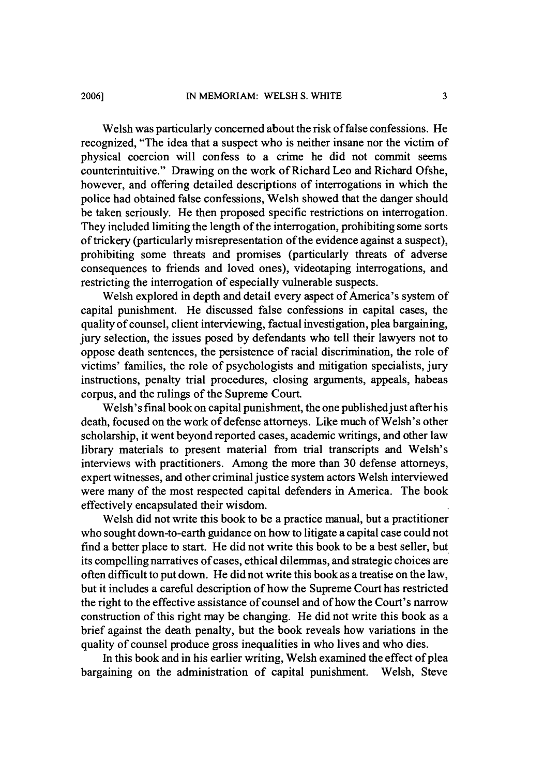Welsh was particularly concerned about the risk of false confessions. He recognized, "The idea that a suspect who is neither insane nor the victim of physical coercion will confess to a crime he did not commit seems counterintuitive." Drawing on the work of Richard Leo and Richard Ofshe, however, and offering detailed descriptions of interrogations in which the police had obtained false confessions, Welsh showed that the danger should be taken seriously. He then proposed specific restrictions on interrogation. They included limiting the length of the interrogation, prohibiting some sorts of trickery (particularly misrepresentation of the evidence against a suspect), prohibiting some threats and promises (particularly threats of adverse consequences to friends and loved ones), videotaping interrogations, and restricting the interrogation of especially vulnerable suspects.

Welsh explored in depth and detail every aspect of America's system of capital punishment. He discussed false confessions in capital cases, the quality of counsel, client interviewing, factual investigation, plea bargaining, jury selection, the issues posed by defendants who tell their lawyers not to oppose death sentences, the persistence of racial discrimination, the role of victims' families, the role of psychologists and mitigation specialists, jury instructions, penalty trial procedures, closing arguments, appeals, habeas corpus, and the rulings of the Supreme Court.

Welsh's final book on capital punishment, the one published just after his death, focused on the work of defense attorneys. Like much of Welsh's other scholarship, it went beyond reported cases, academic writings, and other law library materials to present material from trial transcripts and Welsh's interviews with practitioners. Among the more than **30** defense attorneys, expert witnesses, and other criminal justice system actors Welsh interviewed were many of the most respected capital defenders in America. The book effectively encapsulated their wisdom.

Welsh did not write this book to be a practice manual, but a practitioner who sought down-to-earth guidance on how to litigate a capital case could not find a better place to start. He did not write this book to be a best seller, but its compelling narratives of cases, ethical dilemmas, and strategic choices are often difficult to put down. He did not write this book as a treatise on the law, but it includes a careful description of how the Supreme Court has restricted the right to the effective assistance of counsel and of how the Court's narrow construction of this right may be changing. He did not write this book as a brief against the death penalty, but the book reveals how variations in the quality of counsel produce gross inequalities in who lives and who dies.

In this book and in his earlier writing, Welsh examined the effect of plea bargaining on the administration of capital punishment. Welsh, Steve

**20061**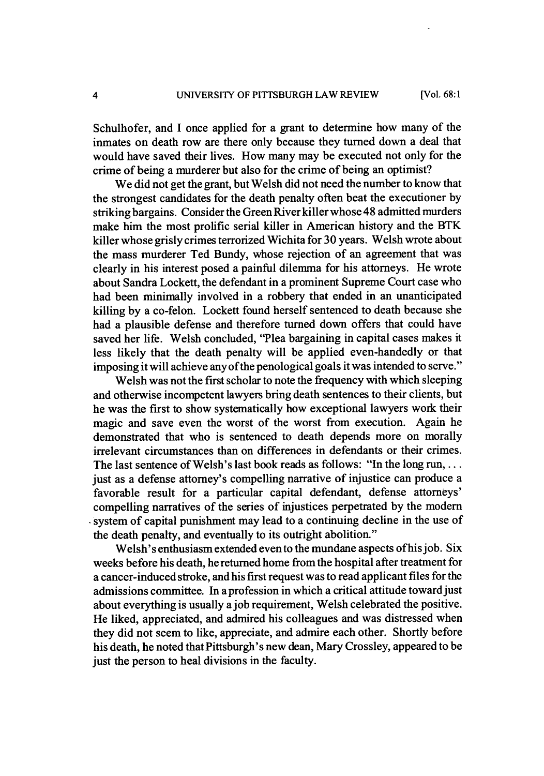Schulhofer, and I once applied for a grant to determine how many of the inmates on death row are there only because they turned down a deal that would have saved their lives. How many may be executed not only for the crime of being a murderer but also for the crime of being an optimist?

We did not get the grant, but Welsh did not need the number to know that the strongest candidates for the death penalty often beat the executioner by striking bargains. Consider the Green River killer whose 48 admitted murders make him the most prolific serial killer in American history and the BTK killer whose grisly crimes terrorized Wichita for 30 years. Welsh wrote about the mass murderer Ted Bundy, whose rejection of an agreement that was clearly in his interest posed a painful dilemma for his attorneys. He wrote about Sandra Lockett, the defendant in a prominent Supreme Court case who had been minimally involved in a robbery that ended in an unanticipated killing by a co-felon. Lockett found herself sentenced to death because she had a plausible defense and therefore turned down offers that could have saved her life. Welsh concluded, "Plea bargaining in capital cases makes it less likely that the death penalty will be applied even-handedly or that imposing it will achieve any of the penological goals it was intended to serve."

Welsh was not the first scholar to note the frequency with which sleeping and otherwise incompetent lawyers bring death sentences to their clients, but he was the first to show systematically how exceptional lawyers work their magic and save even the worst of the worst from execution. Again he demonstrated that who is sentenced to death depends more on morally irrelevant circumstances than on differences in defendants or their crimes. The last sentence of Welsh's last book reads as follows: "In the long run, ... just as a defense attorney's compelling narrative of injustice can produce a favorable result for a particular capital defendant, defense attorneys' compelling narratives of the series of injustices perpetrated by the modern system of capital punishment may lead to a continuing decline in the use of the death penalty, and eventually to its outright abolition."

Welsh's enthusiasm extended even to the mundane aspects ofhisjob. Six weeks before his death, he returned home from the hospital after treatment for a cancer-induced stroke, and his first request was to read applicant files for the admissions committee. In a profession in which a critical attitude toward just about everything is usually a job requirement, Welsh celebrated the positive. He liked, appreciated, and admired his colleagues and was distressed when they did not seem to like, appreciate, and admire each other. Shortly before his death, he noted that Pittsburgh's new dean, Mary Crossley, appeared to be just the person to heal divisions in the faculty.